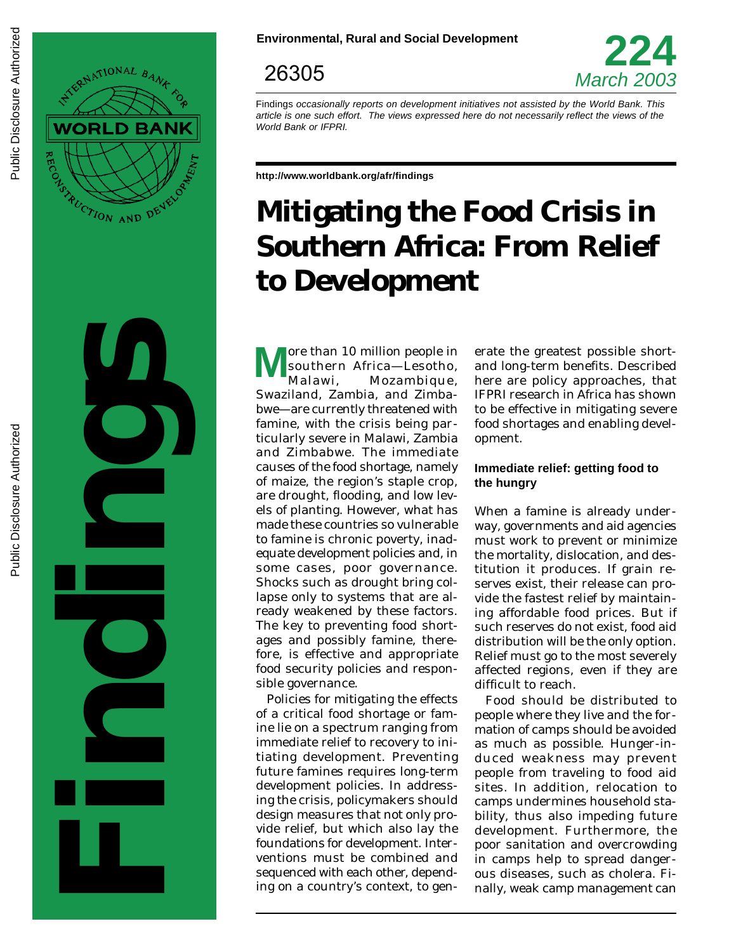



26305



Findings occasionally reports on development initiatives not assisted by the World Bank. This article is one such effort. The views expressed here do not necessarily reflect the views of the World Bank or IFPRI.

**http://www.worldbank.org/afr/findings**

# **Mitigating the Food Crisis in Southern Africa: From Relief to Development**

**M** ore than 10 million people in southern Africa—Lesotho, Malawi, Mozambique, Swaziland, Zambia, and Zimbabwe—are currently threatened with famine, with the crisis being particularly severe in Malawi, Zambia and Zimbabwe. The immediate causes of the food shortage, namely of maize, the region's staple crop, are drought, flooding, and low levels of planting. However, what has made these countries so vulnerable to famine is chronic poverty, inadequate development policies and, in some cases, poor governance. Shocks such as drought bring collapse only to systems that are already weakened by these factors. The key to preventing food shortages and possibly famine, therefore, is effective and appropriate food security policies and responsible governance.

Policies for mitigating the effects of a critical food shortage or famine lie on a spectrum ranging from immediate relief to recovery to initiating development. Preventing future famines requires long-term development policies. In addressing the crisis, policymakers should design measures that not only provide relief, but which also lay the foundations for development. Interventions must be combined and sequenced with each other, depending on a country's context, to gen-

erate the greatest possible shortand long-term benefits. Described here are policy approaches, that IFPRI research in Africa has shown to be effective in mitigating severe food shortages and enabling development.

### **Immediate relief: getting food to the hungry**

When a famine is already underway, governments and aid agencies must work to prevent or minimize the mortality, dislocation, and destitution it produces. If grain reserves exist, their release can provide the fastest relief by maintaining affordable food prices. But if such reserves do not exist, food aid distribution will be the only option. Relief must go to the most severely affected regions, even if they are difficult to reach.

Food should be distributed to people where they live and the formation of camps should be avoided as much as possible. Hunger-induced weakness may prevent people from traveling to food aid sites. In addition, relocation to camps undermines household stability, thus also impeding future development. Furthermore, the poor sanitation and overcrowding in camps help to spread dangerous diseases, such as cholera. Finally, weak camp management can

Public Disclosure Authorized

Public Disclosure Authorized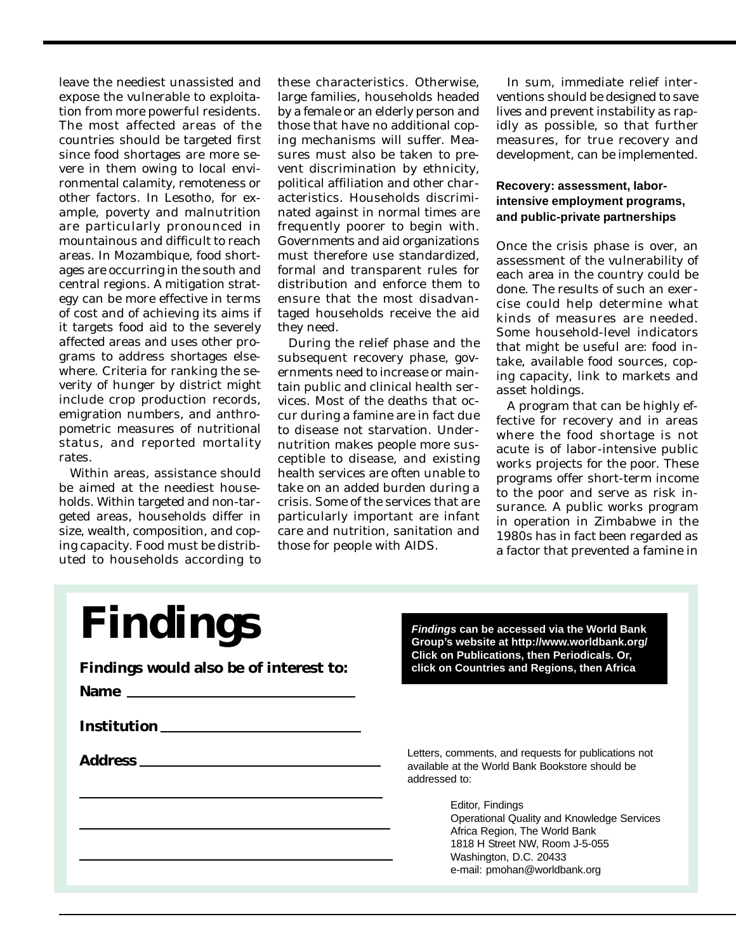leave the neediest unassisted and expose the vulnerable to exploitation from more powerful residents. The most affected areas of the countries should be targeted first since food shortages are more severe in them owing to local environmental calamity, remoteness or other factors. In Lesotho, for example, poverty and malnutrition are particularly pronounced in mountainous and difficult to reach areas. In Mozambique, food shortages are occurring in the south and central regions. A mitigation strategy can be more effective in terms of cost and of achieving its aims if it targets food aid to the severely affected areas and uses other programs to address shortages elsewhere. Criteria for ranking the severity of hunger by district might include crop production records, emigration numbers, and anthropometric measures of nutritional status, and reported mortality rates.

Within areas, assistance should be aimed at the neediest households. Within targeted and non-targeted areas, households differ in size, wealth, composition, and coping capacity. Food must be distributed to households according to these characteristics. Otherwise, large families, households headed by a female or an elderly person and those that have no additional coping mechanisms will suffer. Measures must also be taken to prevent discrimination by ethnicity, political affiliation and other characteristics. Households discriminated against in normal times are frequently poorer to begin with. Governments and aid organizations must therefore use standardized, formal and transparent rules for distribution and enforce them to ensure that the most disadvantaged households receive the aid they need.

During the relief phase and the subsequent recovery phase, governments need to increase or maintain public and clinical health services. Most of the deaths that occur during a famine are in fact due to disease not starvation. Undernutrition makes people more susceptible to disease, and existing health services are often unable to take on an added burden during a crisis. Some of the services that are particularly important are infant care and nutrition, sanitation and those for people with AIDS.

In sum, immediate relief interventions should be designed to save lives and prevent instability as rapidly as possible, so that further measures, for true recovery and development, can be implemented.

### **Recovery: assessment, laborintensive employment programs, and public-private partnerships**

Once the crisis phase is over, an assessment of the vulnerability of each area in the country could be done. The results of such an exercise could help determine what kinds of measures are needed. Some household-level indicators that might be useful are: food intake, available food sources, coping capacity, link to markets and asset holdings.

A program that can be highly effective for recovery and in areas where the food shortage is not acute is of labor-intensive public works projects for the poor. These programs offer short-term income to the poor and serve as risk insurance. A public works program in operation in Zimbabwe in the 1980s has in fact been regarded as a factor that prevented a famine in

| <b>Findings</b><br>Findings would also be of interest to:<br>Name experience and the second contract of the second contract of the second contract of the second contract of the second contract of the second contract of the second contract of the second contract of the second contrac<br><b>Institution</b> | <b>Findings can be accessed via the World Bank</b><br>Group's website at http://www.worldbank.org/<br>Click on Publications, then Periodicals. Or,<br>click on Countries and Regions, then Africa                                                                                                                       |
|-------------------------------------------------------------------------------------------------------------------------------------------------------------------------------------------------------------------------------------------------------------------------------------------------------------------|-------------------------------------------------------------------------------------------------------------------------------------------------------------------------------------------------------------------------------------------------------------------------------------------------------------------------|
| <b>Address</b>                                                                                                                                                                                                                                                                                                    | Letters, comments, and requests for publications not<br>available at the World Bank Bookstore should be<br>addressed to:<br>Editor, Findings<br>Operational Quality and Knowledge Services<br>Africa Region, The World Bank<br>1818 H Street NW, Room J-5-055<br>Washington, D.C. 20433<br>e-mail: pmohan@worldbank.org |
|                                                                                                                                                                                                                                                                                                                   |                                                                                                                                                                                                                                                                                                                         |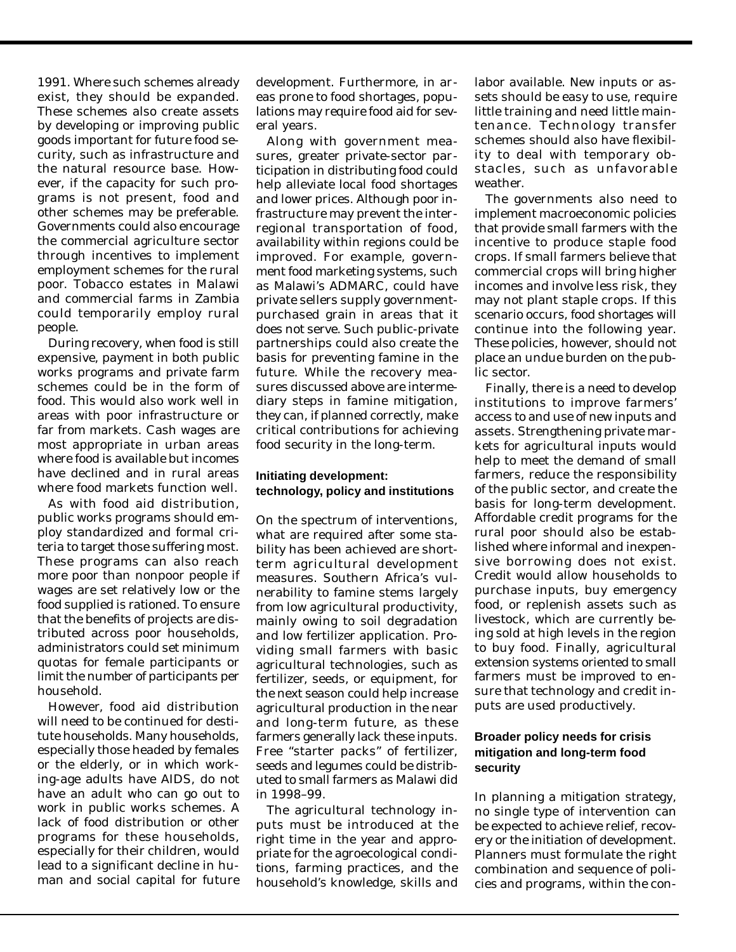1991. Where such schemes already exist, they should be expanded. These schemes also create assets by developing or improving public goods important for future food security, such as infrastructure and the natural resource base. However, if the capacity for such programs is not present, food and other schemes may be preferable. Governments could also encourage the commercial agriculture sector through incentives to implement employment schemes for the rural poor. Tobacco estates in Malawi and commercial farms in Zambia could temporarily employ rural people.

During recovery, when food is still expensive, payment in both public works programs and private farm schemes could be in the form of food. This would also work well in areas with poor infrastructure or far from markets. Cash wages are most appropriate in urban areas where food is available but incomes have declined and in rural areas where food markets function well.

As with food aid distribution, public works programs should employ standardized and formal criteria to target those suffering most. These programs can also reach more poor than nonpoor people if wages are set relatively low or the food supplied is rationed. To ensure that the benefits of projects are distributed across poor households, administrators could set minimum quotas for female participants or limit the number of participants per household.

However, food aid distribution will need to be continued for destitute households. Many households, especially those headed by females or the elderly, or in which working-age adults have AIDS, do not have an adult who can go out to work in public works schemes. A lack of food distribution or other programs for these households, especially for their children, would lead to a significant decline in human and social capital for future development. Furthermore, in areas prone to food shortages, populations may require food aid for several years.

Along with government measures, greater private-sector participation in distributing food could help alleviate local food shortages and lower prices. Although poor infrastructure may prevent the interregional transportation of food, availability within regions could be improved. For example, government food marketing systems, such as Malawi's ADMARC, could have private sellers supply governmentpurchased grain in areas that it does not serve. Such public-private partnerships could also create the basis for preventing famine in the future. While the recovery measures discussed above are intermediary steps in famine mitigation, they can, if planned correctly, make critical contributions for achieving food security in the long-term.

#### **Initiating development: technology, policy and institutions**

On the spectrum of interventions, what are required after some stability has been achieved are shortterm agricultural development measures. Southern Africa's vulnerability to famine stems largely from low agricultural productivity, mainly owing to soil degradation and low fertilizer application. Providing small farmers with basic agricultural technologies, such as fertilizer, seeds, or equipment, for the next season could help increase agricultural production in the near and long-term future, as these farmers generally lack these inputs. Free "starter packs" of fertilizer, seeds and legumes could be distributed to small farmers as Malawi did in 1998–99.

The agricultural technology inputs must be introduced at the right time in the year and appropriate for the agroecological conditions, farming practices, and the household's knowledge, skills and labor available. New inputs or assets should be easy to use, require little training and need little maintenance. Technology transfer schemes should also have flexibility to deal with temporary obstacles, such as unfavorable weather.

The governments also need to implement macroeconomic policies that provide small farmers with the incentive to produce staple food crops. If small farmers believe that commercial crops will bring higher incomes and involve less risk, they may not plant staple crops. If this scenario occurs, food shortages will continue into the following year. These policies, however, should not place an undue burden on the public sector.

Finally, there is a need to develop institutions to improve farmers' access to and use of new inputs and assets. Strengthening private markets for agricultural inputs would help to meet the demand of small farmers, reduce the responsibility of the public sector, and create the basis for long-term development. Affordable credit programs for the rural poor should also be established where informal and inexpensive borrowing does not exist. Credit would allow households to purchase inputs, buy emergency food, or replenish assets such as livestock, which are currently being sold at high levels in the region to buy food. Finally, agricultural extension systems oriented to small farmers must be improved to ensure that technology and credit inputs are used productively.

## **Broader policy needs for crisis mitigation and long-term food security**

In planning a mitigation strategy, no single type of intervention can be expected to achieve relief, recovery or the initiation of development. Planners must formulate the right combination and sequence of policies and programs, within the con